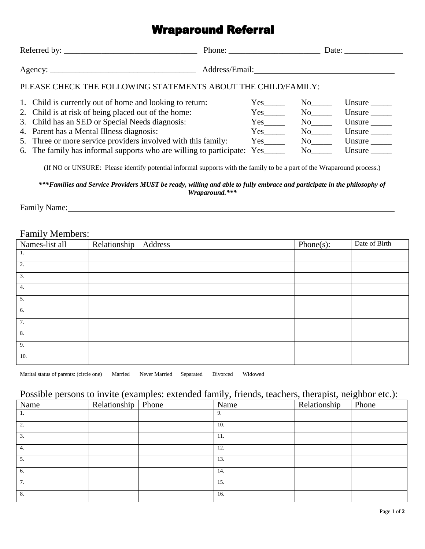## **Wraparound Referral**

|                                                               |                                                                                                                                                                                                                  | Address/Email: 2008. [19] Andreas Address and The Manual Address and The Manual Address and The Manual Address A    |                                                                                |                                                                  |  |  |  |  |  |  |
|---------------------------------------------------------------|------------------------------------------------------------------------------------------------------------------------------------------------------------------------------------------------------------------|---------------------------------------------------------------------------------------------------------------------|--------------------------------------------------------------------------------|------------------------------------------------------------------|--|--|--|--|--|--|
| PLEASE CHECK THE FOLLOWING STATEMENTS ABOUT THE CHILD/FAMILY: |                                                                                                                                                                                                                  |                                                                                                                     |                                                                                |                                                                  |  |  |  |  |  |  |
|                                                               | 1. Child is currently out of home and looking to return:<br>2. Child is at risk of being placed out of the home:<br>3. Child has an SED or Special Needs diagnosis:<br>4. Parent has a Mental Illness diagnosis: | $Yes$ <sub>_________</sub><br>$Yes$ <sub>________</sub><br>$Yes$ <sub>_________</sub><br>$Yes$ <sub>_________</sub> | $No$ <sub>_______</sub><br>$No$ <sub>_______</sub><br>$No$ <sub>________</sub> | Unsure $\_\_$<br>Unsure $\_\_$<br>Unsure $\_\_$<br>Unsure $\_\_$ |  |  |  |  |  |  |
|                                                               | 5. Three or more service providers involved with this family:<br>6. The family has informal supports who are willing to participate: Yes______                                                                   | $Yes$ <sub>_________</sub>                                                                                          | $No$ <sub>_______</sub><br>$No$ <sub>______</sub>                              | Unsure $\_\_$<br>Unsure $\_\_$                                   |  |  |  |  |  |  |

(If NO or UNSURE: Please identify potential informal supports with the family to be a part of the Wraparound process.)

*\*\*\*Families and Service Providers MUST be ready, willing and able to fully embrace and participate in the philosophy of Wraparound.\*\*\**

Family Name:

## Family Members:

| Names-list all | Relationship | Address | $Phone(s)$ : | Date of Birth |
|----------------|--------------|---------|--------------|---------------|
| 1.             |              |         |              |               |
| 2.             |              |         |              |               |
| 3.             |              |         |              |               |
| 4.             |              |         |              |               |
| 5.             |              |         |              |               |
| 6.             |              |         |              |               |
| 7.             |              |         |              |               |
| 8.             |              |         |              |               |
| 9.             |              |         |              |               |
| 10.            |              |         |              |               |

Marital status of parents: (circle one) Married Never Married Separated Divorced Widowed

## Possible persons to invite (examples: extended family, friends, teachers, therapist, neighbor etc.):

| Name | Relationship | Phone | Name | Relationship | $\tilde{\phantom{a}}$<br>Phone |
|------|--------------|-------|------|--------------|--------------------------------|
| 1.   |              |       | 9.   |              |                                |
| 2.   |              |       | 10.  |              |                                |
| 3.   |              |       | 11.  |              |                                |
| 4.   |              |       | 12.  |              |                                |
| 5.   |              |       | 13.  |              |                                |
| 6.   |              |       | 14.  |              |                                |
| 7.   |              |       | 15.  |              |                                |
| 8.   |              |       | 16.  |              |                                |